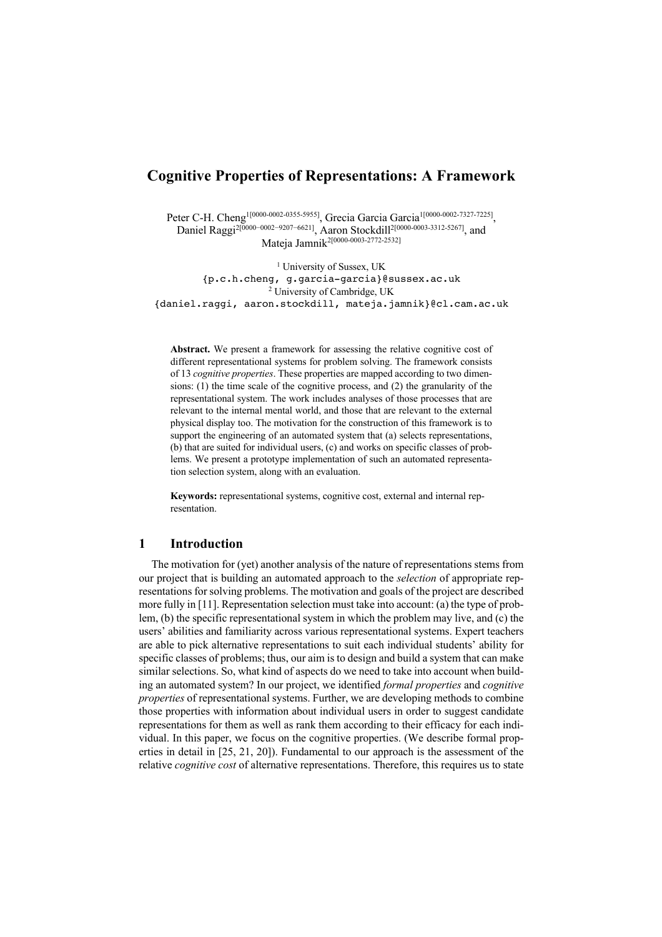# **Cognitive Properties of Representations: A Framework**

Peter C-H. Cheng<sup>1[0000-0002-0355-5955]</sup>, Grecia Garcia Garcia<sup>1[0000-0002-7327-7225]</sup>, Daniel Raggi<sup>2[0000-0002-9207-6621]</sup>, Aaron Stockdill<sup>2[0000-0003-3312-5267]</sup>, and Mateja Jamnik<sup>2[0000-0003-2772-2532]</sup>

<sup>1</sup> University of Sussex, UK {p.c.h.cheng, g.garcia-garcia}@sussex.ac.uk <sup>2</sup> University of Cambridge, UK {daniel.raggi, aaron.stockdill, mateja.jamnik}@cl.cam.ac.uk

Abstract. We present a framework for assessing the relative cognitive cost of different representational systems for problem solving. The framework consists of 13 *cognitive properties*. These properties are mapped according to two dimensions: (1) the time scale of the cognitive process, and (2) the granularity of the representational system. The work includes analyses of those processes that are relevant to the internal mental world, and those that are relevant to the external physical display too. The motivation for the construction of this framework is to support the engineering of an automated system that (a) selects representations, (b) that are suited for individual users, (c) and works on specific classes of problems. We present a prototype implementation of such an automated representation selection system, along with an evaluation.

**Keywords:** representational systems, cognitive cost, external and internal representation.

#### **1 Introduction**

The motivation for (yet) another analysis of the nature of representations stems from our project that is building an automated approach to the *selection* of appropriate representations for solving problems. The motivation and goals of the project are described more fully in [11]. Representation selection must take into account: (a) the type of problem, (b) the specific representational system in which the problem may live, and (c) the users' abilities and familiarity across various representational systems. Expert teachers are able to pick alternative representations to suit each individual students' ability for specific classes of problems; thus, our aim is to design and build a system that can make similar selections. So, what kind of aspects do we need to take into account when building an automated system? In our project, we identified *formal properties* and *cognitive properties* of representational systems. Further, we are developing methods to combine those properties with information about individual users in order to suggest candidate representations for them as well as rank them according to their efficacy for each individual. In this paper, we focus on the cognitive properties. (We describe formal properties in detail in [25, 21, 20]). Fundamental to our approach is the assessment of the relative *cognitive cost* of alternative representations. Therefore, this requires us to state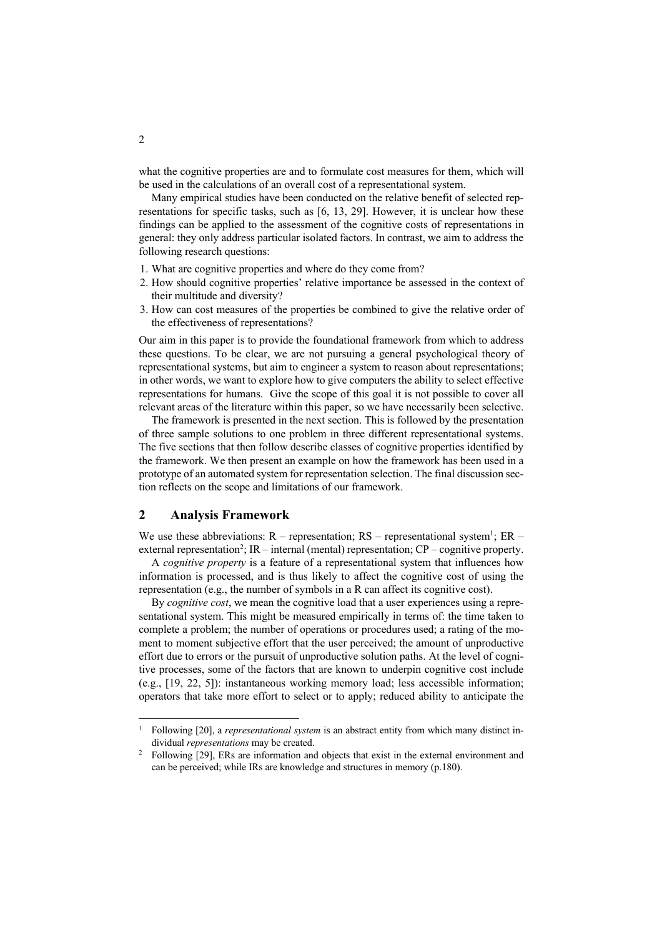what the cognitive properties are and to formulate cost measures for them, which will be used in the calculations of an overall cost of a representational system.

Many empirical studies have been conducted on the relative benefit of selected representations for specific tasks, such as [6, 13, 29]. However, it is unclear how these findings can be applied to the assessment of the cognitive costs of representations in general: they only address particular isolated factors. In contrast, we aim to address the following research questions:

- 1. What are cognitive properties and where do they come from?
- 2. How should cognitive properties' relative importance be assessed in the context of their multitude and diversity?
- 3. How can cost measures of the properties be combined to give the relative order of the effectiveness of representations?

Our aim in this paper is to provide the foundational framework from which to address these questions. To be clear, we are not pursuing a general psychological theory of representational systems, but aim to engineer a system to reason about representations; in other words, we want to explore how to give computers the ability to select effective representations for humans. Give the scope of this goal it is not possible to cover all relevant areas of the literature within this paper, so we have necessarily been selective.

The framework is presented in the next section. This is followed by the presentation of three sample solutions to one problem in three different representational systems. The five sections that then follow describe classes of cognitive properties identified by the framework. We then present an example on how the framework has been used in a prototype of an automated system for representation selection. The final discussion section reflects on the scope and limitations of our framework.

#### **2 Analysis Framework**

We use these abbreviations:  $R$  – representation;  $RS$  – representational system<sup>1</sup>;  $ER$  – external representation<sup>2</sup>; IR – internal (mental) representation;  $CP$  – cognitive property.

A *cognitive property* is a feature of a representational system that influences how information is processed, and is thus likely to affect the cognitive cost of using the representation (e.g., the number of symbols in a R can affect its cognitive cost).

By *cognitive cost*, we mean the cognitive load that a user experiences using a representational system. This might be measured empirically in terms of: the time taken to complete a problem; the number of operations or procedures used; a rating of the moment to moment subjective effort that the user perceived; the amount of unproductive effort due to errors or the pursuit of unproductive solution paths. At the level of cognitive processes, some of the factors that are known to underpin cognitive cost include (e.g., [19, 22, 5]): instantaneous working memory load; less accessible information; operators that take more effort to select or to apply; reduced ability to anticipate the

<sup>&</sup>lt;sup>1</sup> Following [20], a *representational system* is an abstract entity from which many distinct individual *representations* may be created.

<sup>&</sup>lt;sup>2</sup> Following [29], ERs are information and objects that exist in the external environment and can be perceived; while IRs are knowledge and structures in memory (p.180).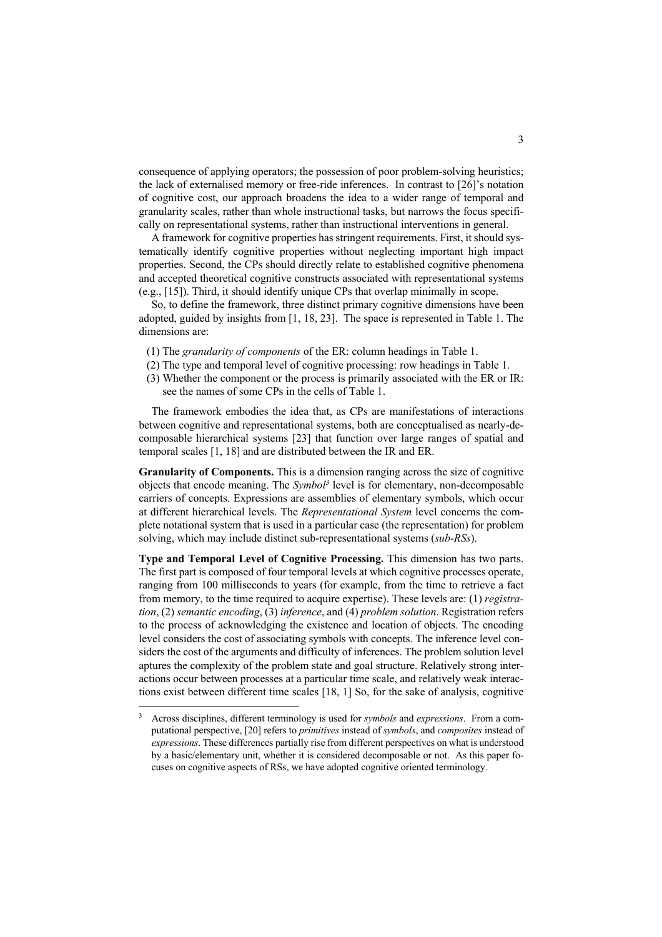consequence of applying operators; the possession of poor problem-solving heuristics; the lack of externalised memory or free-ride inferences. In contrast to [26]'s notation of cognitive cost, our approach broadens the idea to a wider range of temporal and granularity scales, rather than whole instructional tasks, but narrows the focus specifically on representational systems, rather than instructional interventions in general.

A framework for cognitive properties has stringent requirements. First, it should systematically identify cognitive properties without neglecting important high impact properties. Second, the CPs should directly relate to established cognitive phenomena and accepted theoretical cognitive constructs associated with representational systems (e.g., [15]). Third, it should identify unique CPs that overlap minimally in scope.

So, to define the framework, three distinct primary cognitive dimensions have been adopted, guided by insights from [1, 18, 23]. The space is represented in Table 1. The dimensions are:

- (1) The *granularity of components* of the ER: column headings in Table 1.
- (2) The type and temporal level of cognitive processing: row headings in Table 1.
- (3) Whether the component or the process is primarily associated with the ER or IR: see the names of some CPs in the cells of Table 1.

The framework embodies the idea that, as CPs are manifestations of interactions between cognitive and representational systems, both are conceptualised as nearly-decomposable hierarchical systems [23] that function over large ranges of spatial and temporal scales [1, 18] and are distributed between the IR and ER.

**Granularity of Components.** This is a dimension ranging across the size of cognitive objects that encode meaning. The *Symbol3* level is for elementary, non-decomposable carriers of concepts. Expressions are assemblies of elementary symbols, which occur at different hierarchical levels. The *Representational System* level concerns the complete notational system that is used in a particular case (the representation) for problem solving, which may include distinct sub-representational systems (*sub-RSs*).

**Type and Temporal Level of Cognitive Processing.** This dimension has two parts. The first part is composed of four temporal levels at which cognitive processes operate, ranging from 100 milliseconds to years (for example, from the time to retrieve a fact from memory, to the time required to acquire expertise). These levels are: (1) *registration*, (2) *semantic encoding*, (3) *inference*, and (4) *problem solution*. Registration refers to the process of acknowledging the existence and location of objects. The encoding level considers the cost of associating symbols with concepts. The inference level considers the cost of the arguments and difficulty of inferences. The problem solution level aptures the complexity of the problem state and goal structure. Relatively strong interactions occur between processes at a particular time scale, and relatively weak interactions exist between different time scales [18, 1] So, for the sake of analysis, cognitive

<sup>3</sup> Across disciplines, different terminology is used for *symbols* and *expressions*. From a computational perspective, [20] refers to *primitives* instead of *symbols*, and *composites* instead of *expressions*. These differences partially rise from different perspectives on what is understood by a basic/elementary unit, whether it is considered decomposable or not. As this paper focuses on cognitive aspects of RSs, we have adopted cognitive oriented terminology.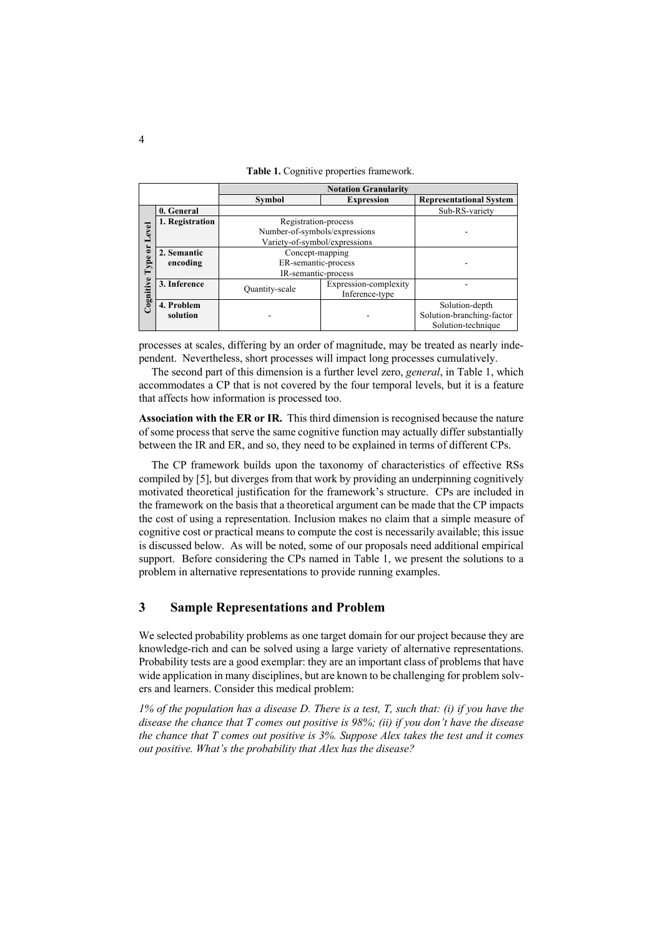**Table 1.** Cognitive properties framework.

|                |                 | <b>Notation Granularity</b>   |                       |                                |
|----------------|-----------------|-------------------------------|-----------------------|--------------------------------|
|                |                 | <b>Symbol</b>                 | <b>Expression</b>     | <b>Representational System</b> |
| Level          | 0. General      |                               |                       | Sub-RS-variety                 |
|                | 1. Registration | Registration-process          |                       |                                |
|                |                 | Number-of-symbols/expressions |                       |                                |
|                |                 | Variety-of-symbol/expressions |                       |                                |
| $\overline{5}$ | 2. Semantic     | Concept-mapping               |                       |                                |
| Type           | encoding        | ER-semantic-process           |                       |                                |
|                |                 | IR-semantic-process           |                       |                                |
| Cognitive      | 3. Inference    | Quantity-scale                | Expression-complexity |                                |
|                |                 |                               | Inference-type        |                                |
|                | 4. Problem      |                               |                       | Solution-depth                 |
|                | solution        |                               |                       | Solution-branching-factor      |
|                |                 |                               |                       | Solution-technique             |

processes at scales, differing by an order of magnitude, may be treated as nearly independent. Nevertheless, short processes will impact long processes cumulatively.

The second part of this dimension is a further level zero, *general*, in Table 1, which accommodates a CP that is not covered by the four temporal levels, but it is a feature that affects how information is processed too.

**Association with the ER or IR.** This third dimension is recognised because the nature of some process that serve the same cognitive function may actually differ substantially between the IR and ER, and so, they need to be explained in terms of different CPs.

The CP framework builds upon the taxonomy of characteristics of effective RSs compiled by [5], but diverges from that work by providing an underpinning cognitively motivated theoretical justification for the framework's structure. CPs are included in the framework on the basis that a theoretical argument can be made that the CP impacts the cost of using a representation. Inclusion makes no claim that a simple measure of cognitive cost or practical means to compute the cost is necessarily available; this issue is discussed below. As will be noted, some of our proposals need additional empirical support. Before considering the CPs named in Table 1, we present the solutions to a problem in alternative representations to provide running examples.

### **3 Sample Representations and Problem**

We selected probability problems as one target domain for our project because they are knowledge-rich and can be solved using a large variety of alternative representations. Probability tests are a good exemplar: they are an important class of problems that have wide application in many disciplines, but are known to be challenging for problem solvers and learners. Consider this medical problem:

*1% of the population has a disease D. There is a test, T, such that: (i) if you have the disease the chance that T comes out positive is 98%; (ii) if you don't have the disease the chance that T comes out positive is 3%. Suppose Alex takes the test and it comes out positive. What's the probability that Alex has the disease?*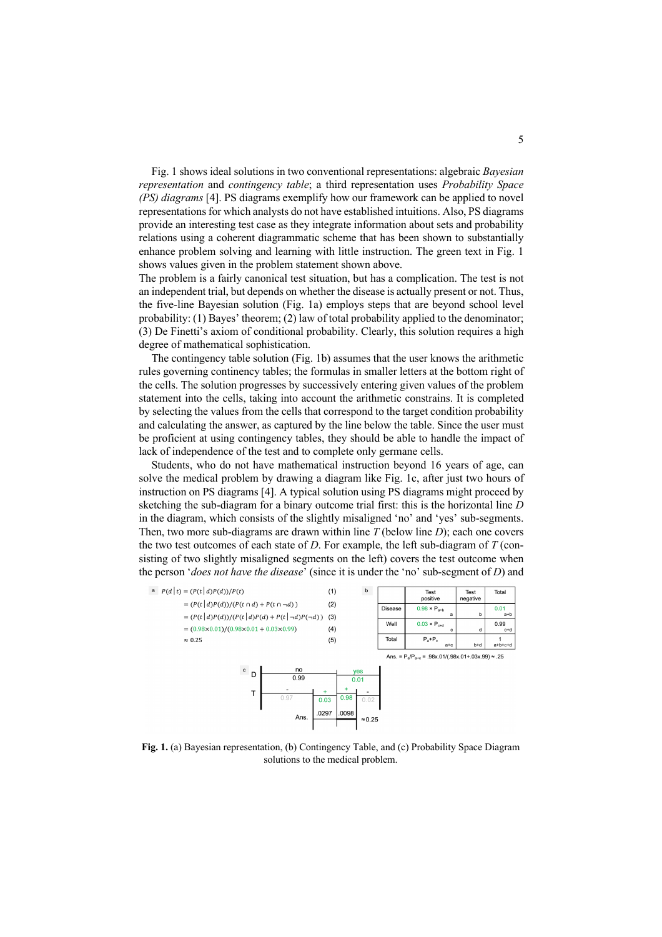Fig. 1 shows ideal solutions in two conventional representations: algebraic *Bayesian representation* and *contingency table*; a third representation uses *Probability Space (PS) diagrams* [4]. PS diagrams exemplify how our framework can be applied to novel representations for which analysts do not have established intuitions. Also, PS diagrams provide an interesting test case as they integrate information about sets and probability relations using a coherent diagrammatic scheme that has been shown to substantially enhance problem solving and learning with little instruction. The green text in Fig. 1 shows values given in the problem statement shown above.

The problem is a fairly canonical test situation, but has a complication. The test is not an independent trial, but depends on whether the disease is actually present or not. Thus, the five-line Bayesian solution (Fig. 1a) employs steps that are beyond school level probability: (1) Bayes' theorem; (2) law of total probability applied to the denominator; (3) De Finetti's axiom of conditional probability. Clearly, this solution requires a high degree of mathematical sophistication.

The contingency table solution (Fig. 1b) assumes that the user knows the arithmetic rules governing continency tables; the formulas in smaller letters at the bottom right of the cells. The solution progresses by successively entering given values of the problem statement into the cells, taking into account the arithmetic constrains. It is completed by selecting the values from the cells that correspond to the target condition probability and calculating the answer, as captured by the line below the table. Since the user must be proficient at using contingency tables, they should be able to handle the impact of lack of independence of the test and to complete only germane cells.

Students, who do not have mathematical instruction beyond 16 years of age, can solve the medical problem by drawing a diagram like Fig. 1c, after just two hours of instruction on PS diagrams [4]. A typical solution using PS diagrams might proceed by sketching the sub-diagram for a binary outcome trial first: this is the horizontal line *D* in the diagram, which consists of the slightly misaligned 'no' and 'yes' sub-segments. Then, two more sub-diagrams are drawn within line *T* (below line *D*); each one covers the two test outcomes of each state of *D*. For example, the left sub-diagram of *T* (consisting of two slightly misaligned segments on the left) covers the test outcome when the person '*does not have the disease*' (since it is under the 'no' sub-segment of *D*) and



**Fig. 1.** (a) Bayesian representation, (b) Contingency Table, and (c) Probability Space Diagram solutions to the medical problem.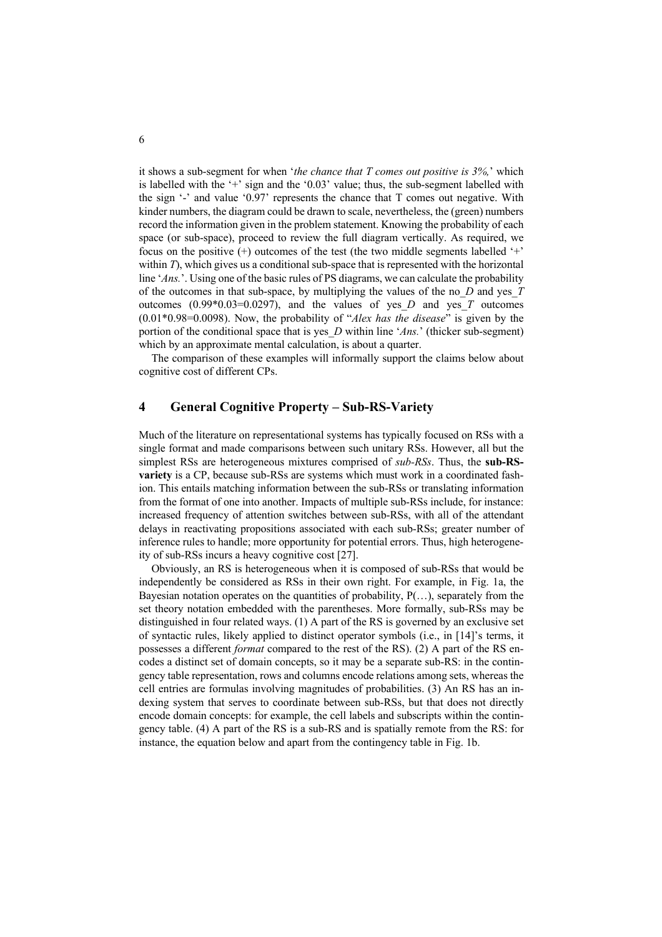it shows a sub-segment for when '*the chance that T comes out positive is 3%,*' which is labelled with the  $+$  sign and the  $0.03$  value; thus, the sub-segment labelled with the sign '-' and value '0.97' represents the chance that T comes out negative. With kinder numbers, the diagram could be drawn to scale, nevertheless, the (green) numbers record the information given in the problem statement. Knowing the probability of each space (or sub-space), proceed to review the full diagram vertically. As required, we focus on the positive  $(+)$  outcomes of the test (the two middle segments labelled  $'$ + within *T*), which gives us a conditional sub-space that is represented with the horizontal line '*Ans.*'. Using one of the basic rules of PS diagrams, we can calculate the probability of the outcomes in that sub-space, by multiplying the values of the no\_*D* and yes\_*T* outcomes  $(0.99*0.03=0.0297)$ , and the values of yes *D* and yes *T* outcomes (0.01\*0.98=0.0098). Now, the probability of "*Alex has the disease*" is given by the portion of the conditional space that is yes\_*D* within line '*Ans.*' (thicker sub-segment) which by an approximate mental calculation, is about a quarter.

The comparison of these examples will informally support the claims below about cognitive cost of different CPs.

### **4 General Cognitive Property – Sub-RS-Variety**

Much of the literature on representational systems has typically focused on RSs with a single format and made comparisons between such unitary RSs. However, all but the simplest RSs are heterogeneous mixtures comprised of *sub-RSs*. Thus, the **sub-RSvariety** is a CP, because sub-RSs are systems which must work in a coordinated fashion. This entails matching information between the sub-RSs or translating information from the format of one into another. Impacts of multiple sub-RSs include, for instance: increased frequency of attention switches between sub-RSs, with all of the attendant delays in reactivating propositions associated with each sub-RSs; greater number of inference rules to handle; more opportunity for potential errors. Thus, high heterogeneity of sub-RSs incurs a heavy cognitive cost [27].

Obviously, an RS is heterogeneous when it is composed of sub-RSs that would be independently be considered as RSs in their own right. For example, in Fig. 1a, the Bayesian notation operates on the quantities of probability,  $P(...)$ , separately from the set theory notation embedded with the parentheses. More formally, sub-RSs may be distinguished in four related ways. (1) A part of the RS is governed by an exclusive set of syntactic rules, likely applied to distinct operator symbols (i.e., in [14]'s terms, it possesses a different *format* compared to the rest of the RS). (2) A part of the RS encodes a distinct set of domain concepts, so it may be a separate sub-RS: in the contingency table representation, rows and columns encode relations among sets, whereas the cell entries are formulas involving magnitudes of probabilities. (3) An RS has an indexing system that serves to coordinate between sub-RSs, but that does not directly encode domain concepts: for example, the cell labels and subscripts within the contingency table. (4) A part of the RS is a sub-RS and is spatially remote from the RS: for instance, the equation below and apart from the contingency table in Fig. 1b.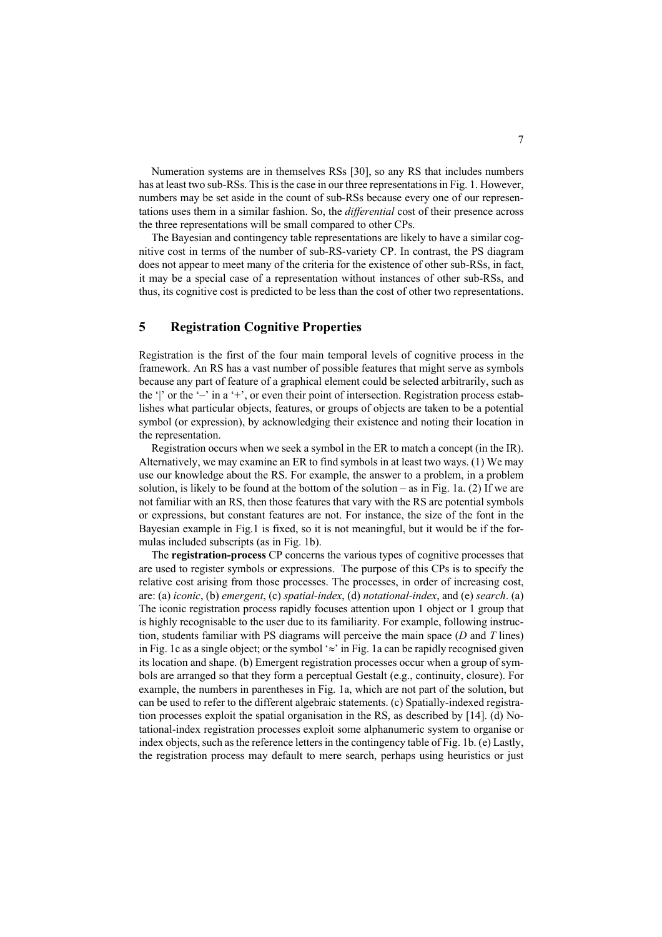Numeration systems are in themselves RSs [30], so any RS that includes numbers has at least two sub-RSs. This is the case in our three representations in Fig. 1. However, numbers may be set aside in the count of sub-RSs because every one of our representations uses them in a similar fashion. So, the *differential* cost of their presence across the three representations will be small compared to other CPs.

The Bayesian and contingency table representations are likely to have a similar cognitive cost in terms of the number of sub-RS-variety CP. In contrast, the PS diagram does not appear to meet many of the criteria for the existence of other sub-RSs, in fact, it may be a special case of a representation without instances of other sub-RSs, and thus, its cognitive cost is predicted to be less than the cost of other two representations.

# **5 Registration Cognitive Properties**

Registration is the first of the four main temporal levels of cognitive process in the framework. An RS has a vast number of possible features that might serve as symbols because any part of feature of a graphical element could be selected arbitrarily, such as the '|' or the ' $-$ ' in a '+', or even their point of intersection. Registration process establishes what particular objects, features, or groups of objects are taken to be a potential symbol (or expression), by acknowledging their existence and noting their location in the representation.

Registration occurs when we seek a symbol in the ER to match a concept (in the IR). Alternatively, we may examine an ER to find symbols in at least two ways. (1) We may use our knowledge about the RS. For example, the answer to a problem, in a problem solution, is likely to be found at the bottom of the solution – as in Fig. 1a. (2) If we are not familiar with an RS, then those features that vary with the RS are potential symbols or expressions, but constant features are not. For instance, the size of the font in the Bayesian example in Fig.1 is fixed, so it is not meaningful, but it would be if the formulas included subscripts (as in Fig. 1b).

The **registration-process** CP concerns the various types of cognitive processes that are used to register symbols or expressions. The purpose of this CPs is to specify the relative cost arising from those processes. The processes, in order of increasing cost, are: (a) *iconic*, (b) *emergent*, (c) *spatial-index*, (d) *notational-index*, and (e) *search*. (a) The iconic registration process rapidly focuses attention upon 1 object or 1 group that is highly recognisable to the user due to its familiarity. For example, following instruction, students familiar with PS diagrams will perceive the main space (*D* and *T* lines) in Fig. 1c as a single object; or the symbol ' $\approx$ ' in Fig. 1a can be rapidly recognised given its location and shape. (b) Emergent registration processes occur when a group of symbols are arranged so that they form a perceptual Gestalt (e.g., continuity, closure). For example, the numbers in parentheses in Fig. 1a, which are not part of the solution, but can be used to refer to the different algebraic statements. (c) Spatially-indexed registration processes exploit the spatial organisation in the RS, as described by [14]. (d) Notational-index registration processes exploit some alphanumeric system to organise or index objects, such as the reference letters in the contingency table of Fig. 1b. (e) Lastly, the registration process may default to mere search, perhaps using heuristics or just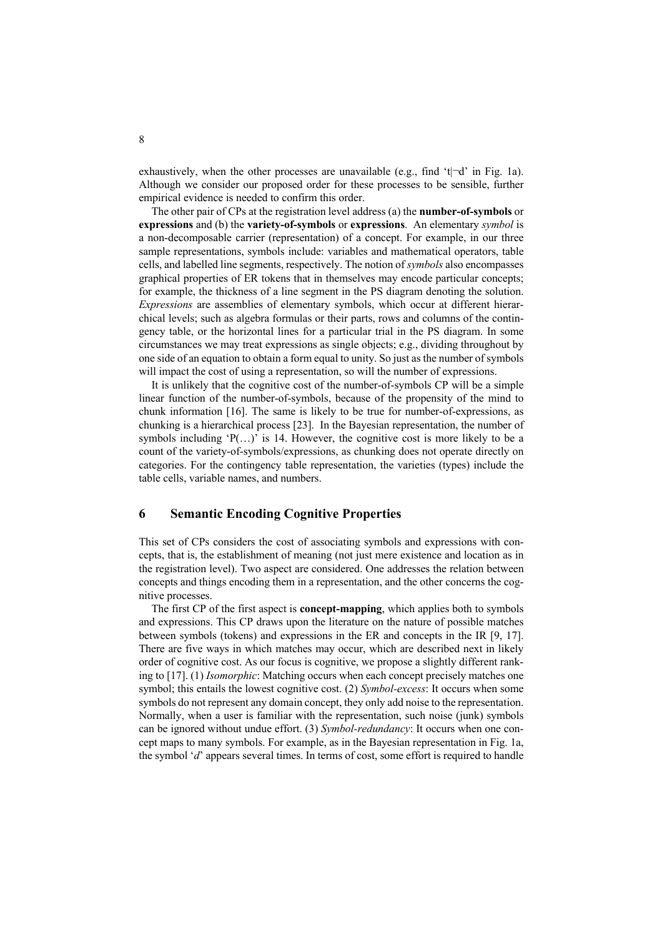exhaustively, when the other processes are unavailable (e.g., find 't $\neg$ d' in Fig. 1a). Although we consider our proposed order for these processes to be sensible, further empirical evidence is needed to confirm this order.

The other pair of CPs at the registration level address (a) the **number-of-symbols** or **expressions** and (b) the **variety-of-symbols** or **expressions**. An elementary *symbol* is a non-decomposable carrier (representation) of a concept. For example, in our three sample representations, symbols include: variables and mathematical operators, table cells, and labelled line segments, respectively. The notion of *symbols* also encompasses graphical properties of ER tokens that in themselves may encode particular concepts; for example, the thickness of a line segment in the PS diagram denoting the solution. *Expressions* are assemblies of elementary symbols, which occur at different hierarchical levels; such as algebra formulas or their parts, rows and columns of the contingency table, or the horizontal lines for a particular trial in the PS diagram. In some circumstances we may treat expressions as single objects; e.g., dividing throughout by one side of an equation to obtain a form equal to unity. So just as the number of symbols will impact the cost of using a representation, so will the number of expressions.

It is unlikely that the cognitive cost of the number-of-symbols CP will be a simple linear function of the number-of-symbols, because of the propensity of the mind to chunk information [16]. The same is likely to be true for number-of-expressions, as chunking is a hierarchical process [23]. In the Bayesian representation, the number of symbols including ' $P(...)$ ' is 14. However, the cognitive cost is more likely to be a count of the variety-of-symbols/expressions, as chunking does not operate directly on categories. For the contingency table representation, the varieties (types) include the table cells, variable names, and numbers.

### **6 Semantic Encoding Cognitive Properties**

This set of CPs considers the cost of associating symbols and expressions with concepts, that is, the establishment of meaning (not just mere existence and location as in the registration level). Two aspect are considered. One addresses the relation between concepts and things encoding them in a representation, and the other concerns the cognitive processes.

The first CP of the first aspect is **concept-mapping**, which applies both to symbols and expressions. This CP draws upon the literature on the nature of possible matches between symbols (tokens) and expressions in the ER and concepts in the IR [9, 17]. There are five ways in which matches may occur, which are described next in likely order of cognitive cost. As our focus is cognitive, we propose a slightly different ranking to [17]. (1) *Isomorphic*: Matching occurs when each concept precisely matches one symbol; this entails the lowest cognitive cost. (2) *Symbol-excess*: It occurs when some symbols do not represent any domain concept, they only add noise to the representation. Normally, when a user is familiar with the representation, such noise (junk) symbols can be ignored without undue effort. (3) *Symbol-redundancy*: It occurs when one concept maps to many symbols. For example, as in the Bayesian representation in Fig. 1a, the symbol '*d*' appears several times. In terms of cost, some effort is required to handle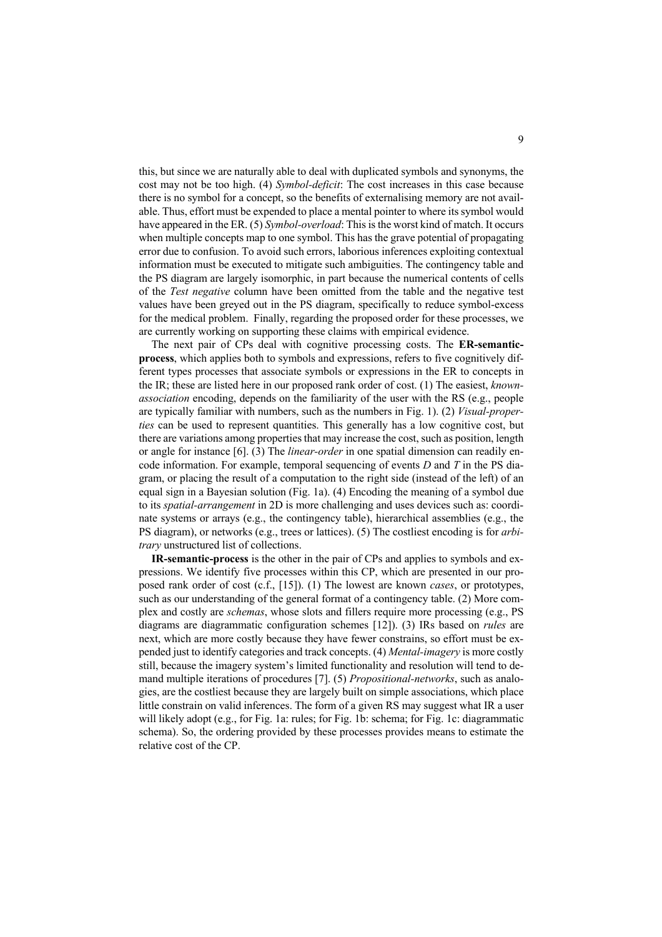this, but since we are naturally able to deal with duplicated symbols and synonyms, the cost may not be too high. (4) *Symbol-deficit*: The cost increases in this case because there is no symbol for a concept, so the benefits of externalising memory are not available. Thus, effort must be expended to place a mental pointer to where its symbol would have appeared in the ER. (5) *Symbol-overload*: This is the worst kind of match. It occurs when multiple concepts map to one symbol. This has the grave potential of propagating error due to confusion. To avoid such errors, laborious inferences exploiting contextual information must be executed to mitigate such ambiguities. The contingency table and the PS diagram are largely isomorphic, in part because the numerical contents of cells of the *Test negative* column have been omitted from the table and the negative test values have been greyed out in the PS diagram, specifically to reduce symbol-excess for the medical problem. Finally, regarding the proposed order for these processes, we are currently working on supporting these claims with empirical evidence.

The next pair of CPs deal with cognitive processing costs. The **ER-semanticprocess**, which applies both to symbols and expressions, refers to five cognitively different types processes that associate symbols or expressions in the ER to concepts in the IR; these are listed here in our proposed rank order of cost. (1) The easiest, *knownassociation* encoding, depends on the familiarity of the user with the RS (e.g., people are typically familiar with numbers, such as the numbers in Fig. 1). (2) *Visual-properties* can be used to represent quantities. This generally has a low cognitive cost, but there are variations among properties that may increase the cost, such as position, length or angle for instance [6]. (3) The *linear-order* in one spatial dimension can readily encode information. For example, temporal sequencing of events *D* and *T* in the PS diagram, or placing the result of a computation to the right side (instead of the left) of an equal sign in a Bayesian solution (Fig. 1a). (4) Encoding the meaning of a symbol due to its *spatial-arrangement* in 2D is more challenging and uses devices such as: coordinate systems or arrays (e.g., the contingency table), hierarchical assemblies (e.g., the PS diagram), or networks (e.g., trees or lattices). (5) The costliest encoding is for *arbitrary* unstructured list of collections.

**IR-semantic-process** is the other in the pair of CPs and applies to symbols and expressions. We identify five processes within this CP, which are presented in our proposed rank order of cost (c.f., [15]). (1) The lowest are known *cases*, or prototypes, such as our understanding of the general format of a contingency table. (2) More complex and costly are *schemas*, whose slots and fillers require more processing (e.g., PS diagrams are diagrammatic configuration schemes [12]). (3) IRs based on *rules* are next, which are more costly because they have fewer constrains, so effort must be expended just to identify categories and track concepts. (4) *Mental-imagery* is more costly still, because the imagery system's limited functionality and resolution will tend to demand multiple iterations of procedures [7]. (5) *Propositional-networks*, such as analogies, are the costliest because they are largely built on simple associations, which place little constrain on valid inferences. The form of a given RS may suggest what IR a user will likely adopt (e.g., for Fig. 1a: rules; for Fig. 1b: schema; for Fig. 1c: diagrammatic schema). So, the ordering provided by these processes provides means to estimate the relative cost of the CP.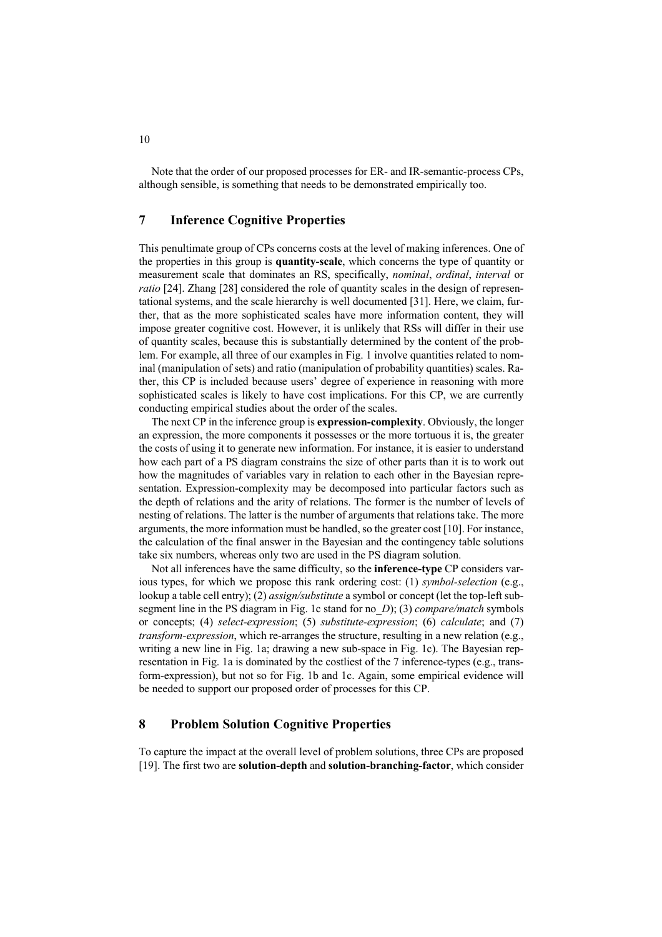Note that the order of our proposed processes for ER- and IR-semantic-process CPs, although sensible, is something that needs to be demonstrated empirically too.

### **7 Inference Cognitive Properties**

This penultimate group of CPs concerns costs at the level of making inferences. One of the properties in this group is **quantity-scale**, which concerns the type of quantity or measurement scale that dominates an RS, specifically, *nominal*, *ordinal*, *interval* or *ratio* [24]. Zhang [28] considered the role of quantity scales in the design of representational systems, and the scale hierarchy is well documented [31]. Here, we claim, further, that as the more sophisticated scales have more information content, they will impose greater cognitive cost. However, it is unlikely that RSs will differ in their use of quantity scales, because this is substantially determined by the content of the problem. For example, all three of our examples in Fig. 1 involve quantities related to nominal (manipulation of sets) and ratio (manipulation of probability quantities) scales. Rather, this CP is included because users' degree of experience in reasoning with more sophisticated scales is likely to have cost implications. For this CP, we are currently conducting empirical studies about the order of the scales.

The next CP in the inference group is **expression-complexity**. Obviously, the longer an expression, the more components it possesses or the more tortuous it is, the greater the costs of using it to generate new information. For instance, it is easier to understand how each part of a PS diagram constrains the size of other parts than it is to work out how the magnitudes of variables vary in relation to each other in the Bayesian representation. Expression-complexity may be decomposed into particular factors such as the depth of relations and the arity of relations. The former is the number of levels of nesting of relations. The latter is the number of arguments that relations take. The more arguments, the more information must be handled, so the greater cost [10]. For instance, the calculation of the final answer in the Bayesian and the contingency table solutions take six numbers, whereas only two are used in the PS diagram solution.

Not all inferences have the same difficulty, so the **inference-type** CP considers various types, for which we propose this rank ordering cost: (1) *symbol-selection* (e.g., lookup a table cell entry); (2) *assign/substitute* a symbol or concept (let the top-left subsegment line in the PS diagram in Fig. 1c stand for no\_*D*); (3) *compare/match* symbols or concepts; (4) *select-expression*; (5) *substitute-expression*; (6) *calculate*; and (7) *transform-expression*, which re-arranges the structure, resulting in a new relation (e.g., writing a new line in Fig. 1a; drawing a new sub-space in Fig. 1c). The Bayesian representation in Fig. 1a is dominated by the costliest of the 7 inference-types (e.g., transform-expression), but not so for Fig. 1b and 1c. Again, some empirical evidence will be needed to support our proposed order of processes for this CP.

## **8 Problem Solution Cognitive Properties**

To capture the impact at the overall level of problem solutions, three CPs are proposed [19]. The first two are **solution-depth** and **solution-branching-factor**, which consider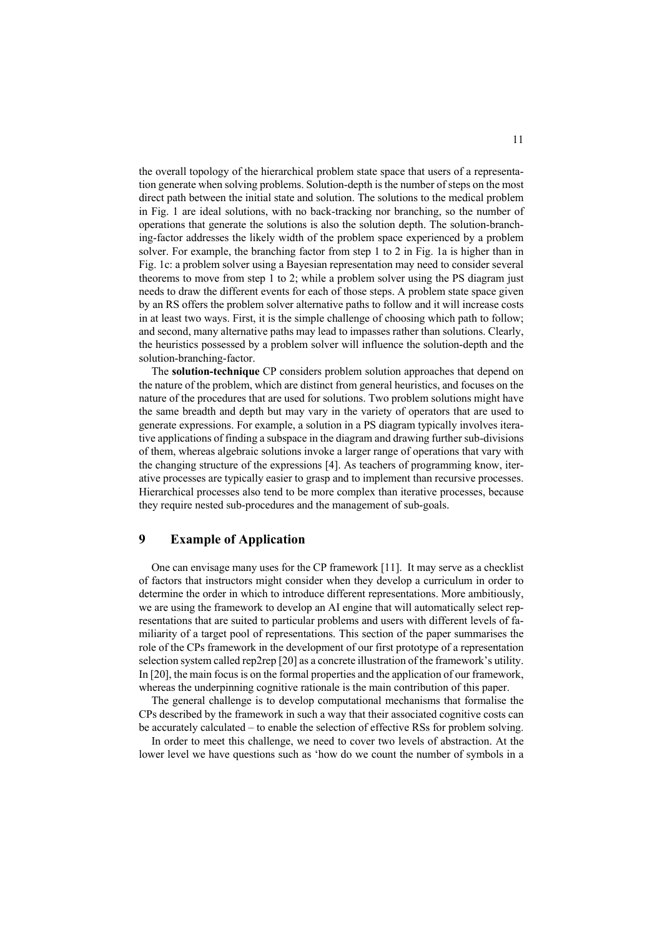the overall topology of the hierarchical problem state space that users of a representation generate when solving problems. Solution-depth is the number of steps on the most direct path between the initial state and solution. The solutions to the medical problem in Fig. 1 are ideal solutions, with no back-tracking nor branching, so the number of operations that generate the solutions is also the solution depth. The solution-branching-factor addresses the likely width of the problem space experienced by a problem solver. For example, the branching factor from step 1 to 2 in Fig. 1a is higher than in Fig. 1c: a problem solver using a Bayesian representation may need to consider several theorems to move from step 1 to 2; while a problem solver using the PS diagram just needs to draw the different events for each of those steps. A problem state space given by an RS offers the problem solver alternative paths to follow and it will increase costs in at least two ways. First, it is the simple challenge of choosing which path to follow; and second, many alternative paths may lead to impasses rather than solutions. Clearly, the heuristics possessed by a problem solver will influence the solution-depth and the solution-branching-factor.

The **solution-technique** CP considers problem solution approaches that depend on the nature of the problem, which are distinct from general heuristics, and focuses on the nature of the procedures that are used for solutions. Two problem solutions might have the same breadth and depth but may vary in the variety of operators that are used to generate expressions. For example, a solution in a PS diagram typically involves iterative applications of finding a subspace in the diagram and drawing further sub-divisions of them, whereas algebraic solutions invoke a larger range of operations that vary with the changing structure of the expressions [4]. As teachers of programming know, iterative processes are typically easier to grasp and to implement than recursive processes. Hierarchical processes also tend to be more complex than iterative processes, because they require nested sub-procedures and the management of sub-goals.

#### **9 Example of Application**

One can envisage many uses for the CP framework [11]. It may serve as a checklist of factors that instructors might consider when they develop a curriculum in order to determine the order in which to introduce different representations. More ambitiously, we are using the framework to develop an AI engine that will automatically select representations that are suited to particular problems and users with different levels of familiarity of a target pool of representations. This section of the paper summarises the role of the CPs framework in the development of our first prototype of a representation selection system called rep2rep [20] as a concrete illustration of the framework's utility. In [20], the main focus is on the formal properties and the application of our framework, whereas the underpinning cognitive rationale is the main contribution of this paper.

The general challenge is to develop computational mechanisms that formalise the CPs described by the framework in such a way that their associated cognitive costs can be accurately calculated – to enable the selection of effective RSs for problem solving.

In order to meet this challenge, we need to cover two levels of abstraction. At the lower level we have questions such as 'how do we count the number of symbols in a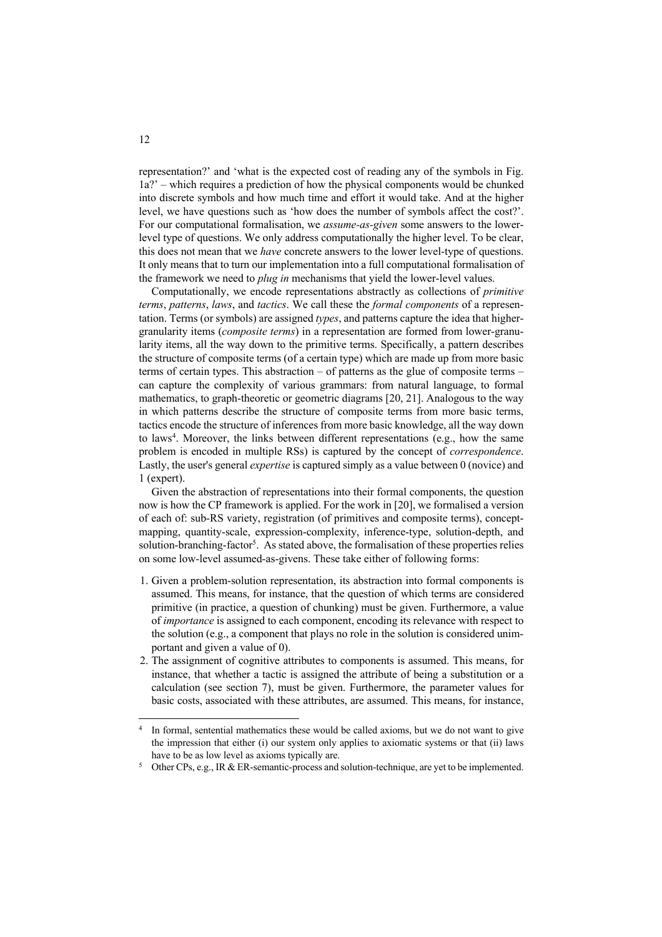representation?' and 'what is the expected cost of reading any of the symbols in Fig. 1a?' – which requires a prediction of how the physical components would be chunked into discrete symbols and how much time and effort it would take. And at the higher level, we have questions such as 'how does the number of symbols affect the cost?'. For our computational formalisation, we *assume-as-given* some answers to the lowerlevel type of questions. We only address computationally the higher level. To be clear, this does not mean that we *have* concrete answers to the lower level-type of questions. It only means that to turn our implementation into a full computational formalisation of the framework we need to *plug in* mechanisms that yield the lower-level values.

Computationally, we encode representations abstractly as collections of *primitive terms*, *patterns*, *laws*, and *tactics*. We call these the *formal components* of a representation. Terms (or symbols) are assigned *types*, and patterns capture the idea that highergranularity items (*composite terms*) in a representation are formed from lower-granularity items, all the way down to the primitive terms. Specifically, a pattern describes the structure of composite terms (of a certain type) which are made up from more basic terms of certain types. This abstraction – of patterns as the glue of composite terms – can capture the complexity of various grammars: from natural language, to formal mathematics, to graph-theoretic or geometric diagrams [20, 21]. Analogous to the way in which patterns describe the structure of composite terms from more basic terms, tactics encode the structure of inferences from more basic knowledge, all the way down to laws<sup>4</sup>. Moreover, the links between different representations (e.g., how the same problem is encoded in multiple RSs) is captured by the concept of *correspondence*. Lastly, the user's general *expertise* is captured simply as a value between 0 (novice) and 1 (expert).

Given the abstraction of representations into their formal components, the question now is how the CP framework is applied. For the work in [20], we formalised a version of each of: sub-RS variety, registration (of primitives and composite terms), conceptmapping, quantity-scale, expression-complexity, inference-type, solution-depth, and solution-branching-factor<sup>5</sup>. As stated above, the formalisation of these properties relies on some low-level assumed-as-givens. These take either of following forms:

- 1. Given a problem-solution representation, its abstraction into formal components is assumed. This means, for instance, that the question of which terms are considered primitive (in practice, a question of chunking) must be given. Furthermore, a value of *importance* is assigned to each component, encoding its relevance with respect to the solution (e.g., a component that plays no role in the solution is considered unimportant and given a value of 0).
- 2. The assignment of cognitive attributes to components is assumed. This means, for instance, that whether a tactic is assigned the attribute of being a substitution or a calculation (see section 7), must be given. Furthermore, the parameter values for basic costs, associated with these attributes, are assumed. This means, for instance,

In formal, sentential mathematics these would be called axioms, but we do not want to give the impression that either (i) our system only applies to axiomatic systems or that (ii) laws have to be as low level as axioms typically are.

<sup>&</sup>lt;sup>5</sup> Other CPs, e.g., IR & ER-semantic-process and solution-technique, are yet to be implemented.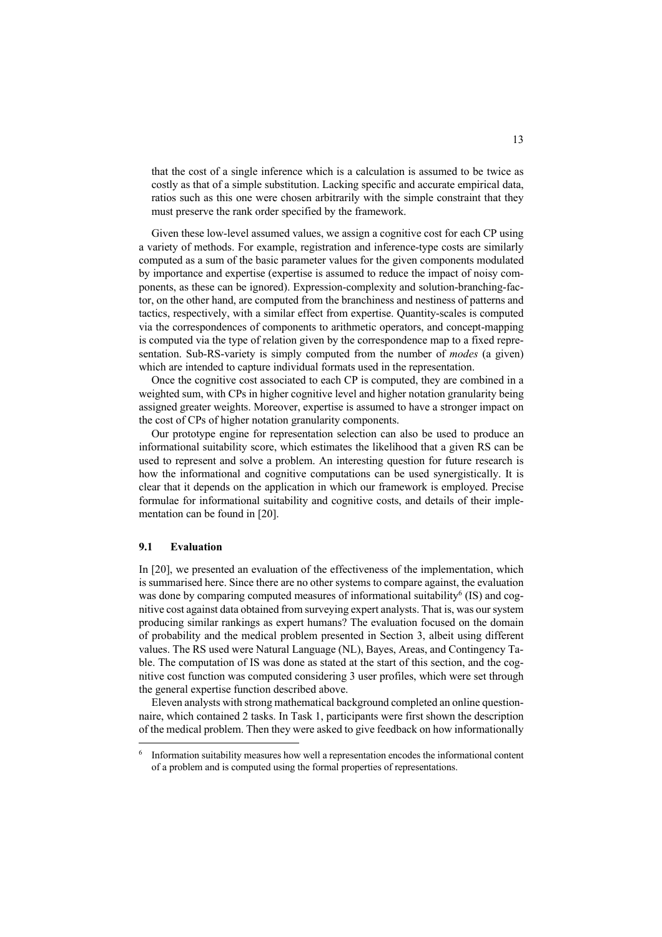that the cost of a single inference which is a calculation is assumed to be twice as costly as that of a simple substitution. Lacking specific and accurate empirical data, ratios such as this one were chosen arbitrarily with the simple constraint that they must preserve the rank order specified by the framework.

Given these low-level assumed values, we assign a cognitive cost for each CP using a variety of methods. For example, registration and inference-type costs are similarly computed as a sum of the basic parameter values for the given components modulated by importance and expertise (expertise is assumed to reduce the impact of noisy components, as these can be ignored). Expression-complexity and solution-branching-factor, on the other hand, are computed from the branchiness and nestiness of patterns and tactics, respectively, with a similar effect from expertise. Quantity-scales is computed via the correspondences of components to arithmetic operators, and concept-mapping is computed via the type of relation given by the correspondence map to a fixed representation. Sub-RS-variety is simply computed from the number of *modes* (a given) which are intended to capture individual formats used in the representation.

Once the cognitive cost associated to each CP is computed, they are combined in a weighted sum, with CPs in higher cognitive level and higher notation granularity being assigned greater weights. Moreover, expertise is assumed to have a stronger impact on the cost of CPs of higher notation granularity components.

Our prototype engine for representation selection can also be used to produce an informational suitability score, which estimates the likelihood that a given RS can be used to represent and solve a problem. An interesting question for future research is how the informational and cognitive computations can be used synergistically. It is clear that it depends on the application in which our framework is employed. Precise formulae for informational suitability and cognitive costs, and details of their implementation can be found in [20].

#### **9.1 Evaluation**

In [20], we presented an evaluation of the effectiveness of the implementation, which is summarised here. Since there are no other systems to compare against, the evaluation was done by comparing computed measures of informational suitability<sup>6</sup> (IS) and cognitive cost against data obtained from surveying expert analysts. That is, was oursystem producing similar rankings as expert humans? The evaluation focused on the domain of probability and the medical problem presented in Section 3, albeit using different values. The RS used were Natural Language (NL), Bayes, Areas, and Contingency Table. The computation of IS was done as stated at the start of this section, and the cognitive cost function was computed considering 3 user profiles, which were set through the general expertise function described above.

Eleven analysts with strong mathematical background completed an online questionnaire, which contained 2 tasks. In Task 1, participants were first shown the description of the medical problem. Then they were asked to give feedback on how informationally

<sup>&</sup>lt;sup>6</sup> Information suitability measures how well a representation encodes the informational content of a problem and is computed using the formal properties of representations.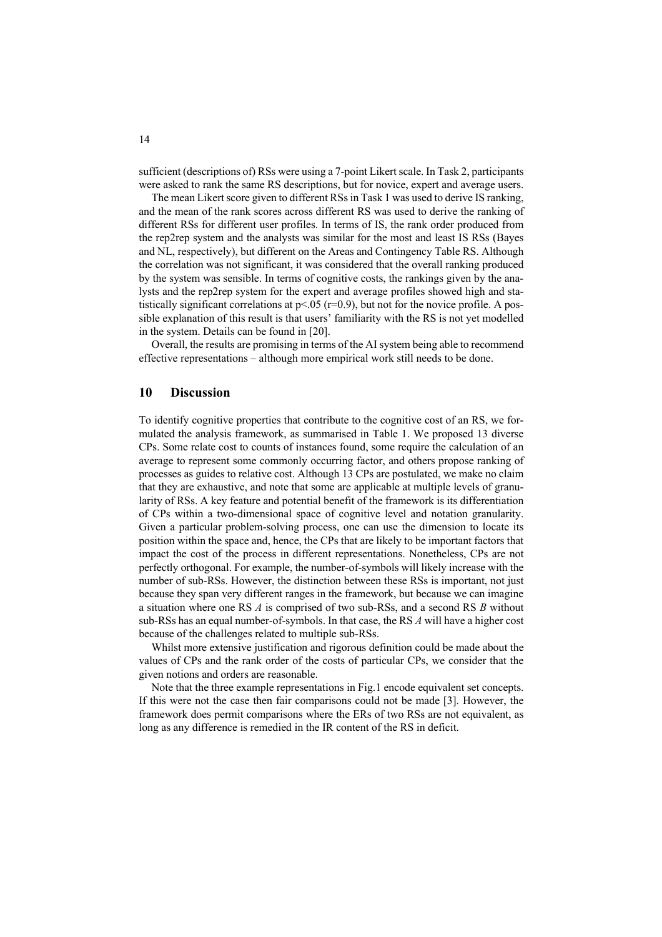sufficient (descriptions of) RSs were using a 7-point Likert scale. In Task 2, participants were asked to rank the same RS descriptions, but for novice, expert and average users.

The mean Likert score given to different RSs in Task 1 was used to derive IS ranking, and the mean of the rank scores across different RS was used to derive the ranking of different RSs for different user profiles. In terms of IS, the rank order produced from the rep2rep system and the analysts was similar for the most and least IS RSs (Bayes and NL, respectively), but different on the Areas and Contingency Table RS. Although the correlation was not significant, it was considered that the overall ranking produced by the system was sensible. In terms of cognitive costs, the rankings given by the analysts and the rep2rep system for the expert and average profiles showed high and statistically significant correlations at  $p<0.05$  (r=0.9), but not for the novice profile. A possible explanation of this result is that users' familiarity with the RS is not yet modelled in the system. Details can be found in [20].

Overall, the results are promising in terms of the AI system being able to recommend effective representations – although more empirical work still needs to be done.

#### **10 Discussion**

To identify cognitive properties that contribute to the cognitive cost of an RS, we formulated the analysis framework, as summarised in Table 1. We proposed 13 diverse CPs. Some relate cost to counts of instances found, some require the calculation of an average to represent some commonly occurring factor, and others propose ranking of processes as guides to relative cost. Although 13 CPs are postulated, we make no claim that they are exhaustive, and note that some are applicable at multiple levels of granularity of RSs. A key feature and potential benefit of the framework is its differentiation of CPs within a two-dimensional space of cognitive level and notation granularity. Given a particular problem-solving process, one can use the dimension to locate its position within the space and, hence, the CPs that are likely to be important factors that impact the cost of the process in different representations. Nonetheless, CPs are not perfectly orthogonal. For example, the number-of-symbols will likely increase with the number of sub-RSs. However, the distinction between these RSs is important, not just because they span very different ranges in the framework, but because we can imagine a situation where one RS *A* is comprised of two sub-RSs, and a second RS *B* without sub-RSs has an equal number-of-symbols. In that case, the RS *A* will have a higher cost because of the challenges related to multiple sub-RSs.

Whilst more extensive justification and rigorous definition could be made about the values of CPs and the rank order of the costs of particular CPs, we consider that the given notions and orders are reasonable.

Note that the three example representations in Fig.1 encode equivalent set concepts. If this were not the case then fair comparisons could not be made [3]. However, the framework does permit comparisons where the ERs of two RSs are not equivalent, as long as any difference is remedied in the IR content of the RS in deficit.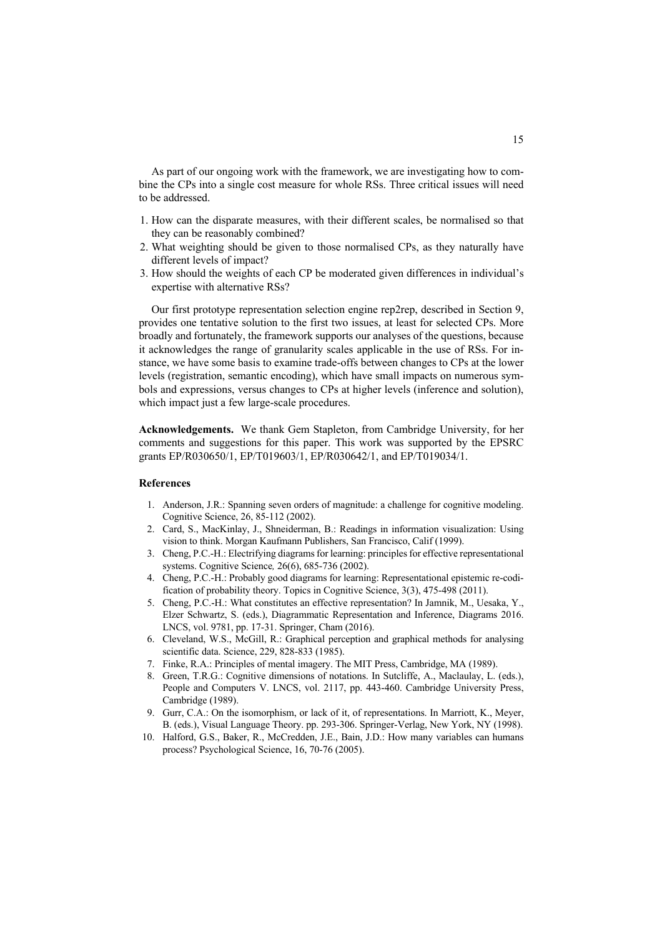As part of our ongoing work with the framework, we are investigating how to combine the CPs into a single cost measure for whole RSs. Three critical issues will need to be addressed.

- 1. How can the disparate measures, with their different scales, be normalised so that they can be reasonably combined?
- 2. What weighting should be given to those normalised CPs, as they naturally have different levels of impact?
- 3. How should the weights of each CP be moderated given differences in individual's expertise with alternative RSs?

Our first prototype representation selection engine rep2rep, described in Section 9, provides one tentative solution to the first two issues, at least for selected CPs. More broadly and fortunately, the framework supports our analyses of the questions, because it acknowledges the range of granularity scales applicable in the use of RSs. For instance, we have some basis to examine trade-offs between changes to CPs at the lower levels (registration, semantic encoding), which have small impacts on numerous symbols and expressions, versus changes to CPs at higher levels (inference and solution), which impact just a few large-scale procedures.

**Acknowledgements.** We thank Gem Stapleton, from Cambridge University, for her comments and suggestions for this paper. This work was supported by the EPSRC grants EP/R030650/1, EP/T019603/1, EP/R030642/1, and EP/T019034/1.

#### **References**

- 1. Anderson, J.R.: Spanning seven orders of magnitude: a challenge for cognitive modeling. Cognitive Science, 26, 85-112 (2002).
- 2. Card, S., MacKinlay, J., Shneiderman, B.: Readings in information visualization: Using vision to think. Morgan Kaufmann Publishers, San Francisco, Calif (1999).
- 3. Cheng, P.C.-H.: Electrifying diagrams for learning: principles for effective representational systems. Cognitive Science*,* 26(6), 685-736 (2002).
- 4. Cheng, P.C.-H.: Probably good diagrams for learning: Representational epistemic re-codification of probability theory. Topics in Cognitive Science, 3(3), 475-498 (2011).
- 5. Cheng, P.C.-H.: What constitutes an effective representation? In Jamnik, M., Uesaka, Y., Elzer Schwartz, S. (eds.), Diagrammatic Representation and Inference, Diagrams 2016. LNCS, vol. 9781, pp. 17-31. Springer, Cham (2016).
- 6. Cleveland, W.S., McGill, R.: Graphical perception and graphical methods for analysing scientific data. Science, 229, 828-833 (1985).
- 7. Finke, R.A.: Principles of mental imagery. The MIT Press, Cambridge, MA (1989).
- 8. Green, T.R.G.: Cognitive dimensions of notations. In Sutcliffe, A., Maclaulay, L. (eds.), People and Computers V. LNCS, vol. 2117, pp. 443-460. Cambridge University Press, Cambridge (1989).
- 9. Gurr, C.A.: On the isomorphism, or lack of it, of representations. In Marriott, K., Meyer, B. (eds.), Visual Language Theory. pp. 293-306. Springer-Verlag, New York, NY (1998).
- 10. Halford, G.S., Baker, R., McCredden, J.E., Bain, J.D.: How many variables can humans process? Psychological Science, 16, 70-76 (2005).